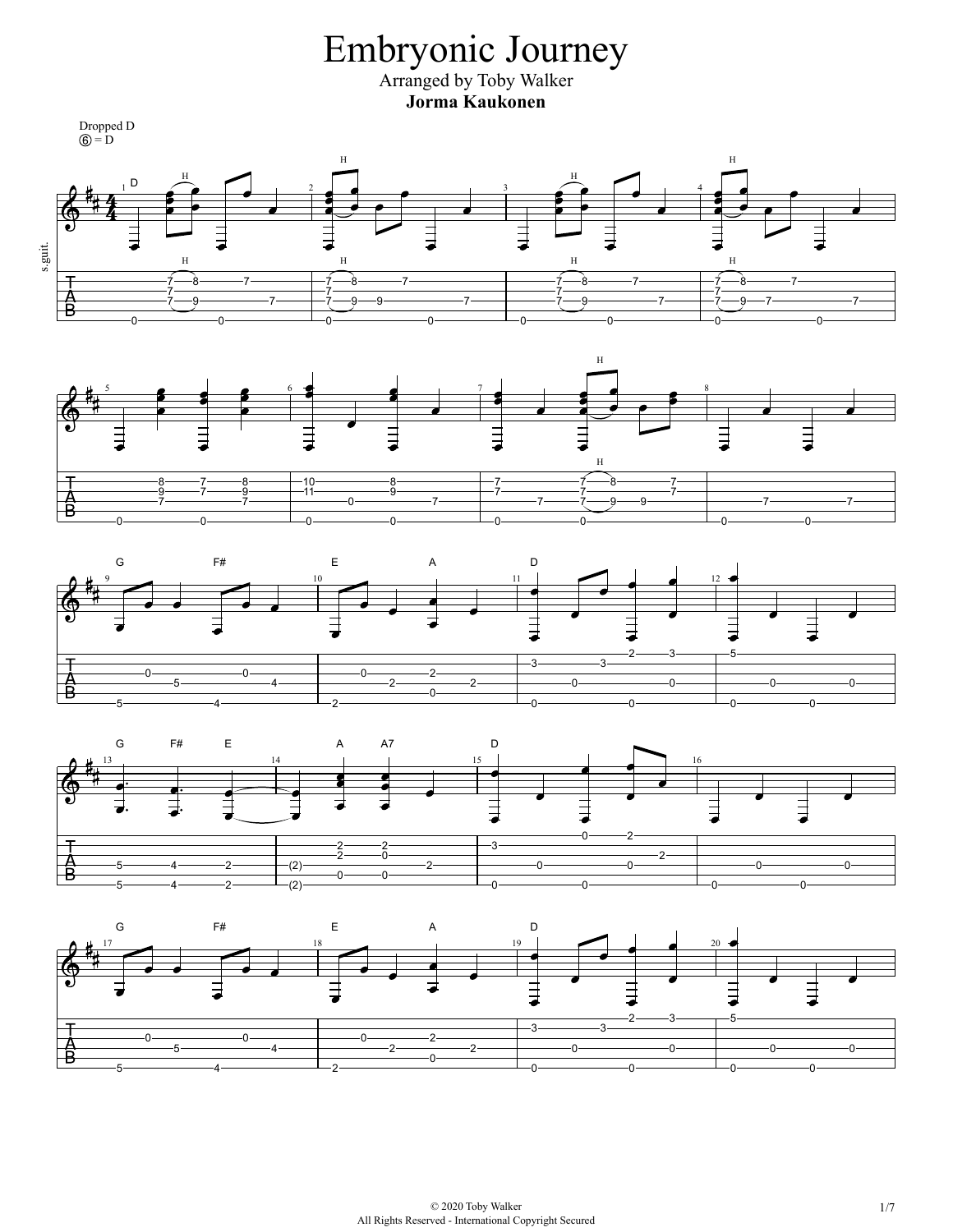Embryonic Journey Arranged by Toby Walker **Jorma Kaukonen** Dropped D  $= D$  $\,$  H  $\,$  H H H  $1^{\mathsf{D}}$   $\overrightarrow{2}$   $\overrightarrow{3}$   $\overrightarrow{2}$   $\overrightarrow{4}$   $\overrightarrow{3}$   $\overrightarrow{2}$   $\overrightarrow{4}$   $\overrightarrow{4}$ s.guit. H H H H 5 8  $-7-$ -7 -8.  $-7-$ .<br>8- $-7-$ -8.  $-7-$ 7 7 占 7 7 7 7 7 -9 7  $-9 - 9$ 9  $-7$  $-9 - 7$ 7 7 7 7 7 0  $-0$  $-0$ -ሰ 0  $-0$ 0 0 H  $5$  **6**  $\rightarrow$   $6$  <del>5</del>  $\rightarrow$  1  $7$   $\rightarrow$  1  $\rightarrow$   $\rightarrow$  8 Ю ∃ E H .<br>8-.<br>R  $-10$ 8 8 7 7 7 7 9 7 7 9 11 -ğ. 7 7 7 7  $-0 -7 -7 -9$  - 9  $-7 -7-$ 7 7 <u>-</u> ^  $\overline{0}$ .<br>n  $\overline{0}$ .<br>n  $\Omega$ 0 0 G F# E A D 9 **10** 10 11 11 **1** 12  $\exists$  $\overline{\bullet}$ ₹ ⋾ ⋣ 2  $3 \longrightarrow -5$ 3 3 0 0  $-0$ 2 A  $-5 -4 -2 -2 -0 -0 -0 -0-$ 0 0  $-0$ ., 0 5 4 0 G F# E A A7 D 13 14 | | 15 | | | 16 ⋣  $\exists$ 0 2 3 2 2 2 0  $-2$ ∱<br>R  $-2$   $(2)$  $-2 -0 -0 -0-$ 5  $-0-$ 4  $-0$ 0  $\frac{1}{(2)}$ 0 0 0 5 4 2 0 G F# E A D 17 18 19 20 $\bar{=}$ ∃ Ę E  $\overline{\bullet}$ 2  $3 \rightarrow 5$ 3 3

2

0

 $-0$ 

0

 $-0-$ 

0

0

0

 $-0-$ 

5

Δ

 $-0 -5-$ 

4

 $-0 -4-$ 

-2

 $-0 -2$   $-0 -2-$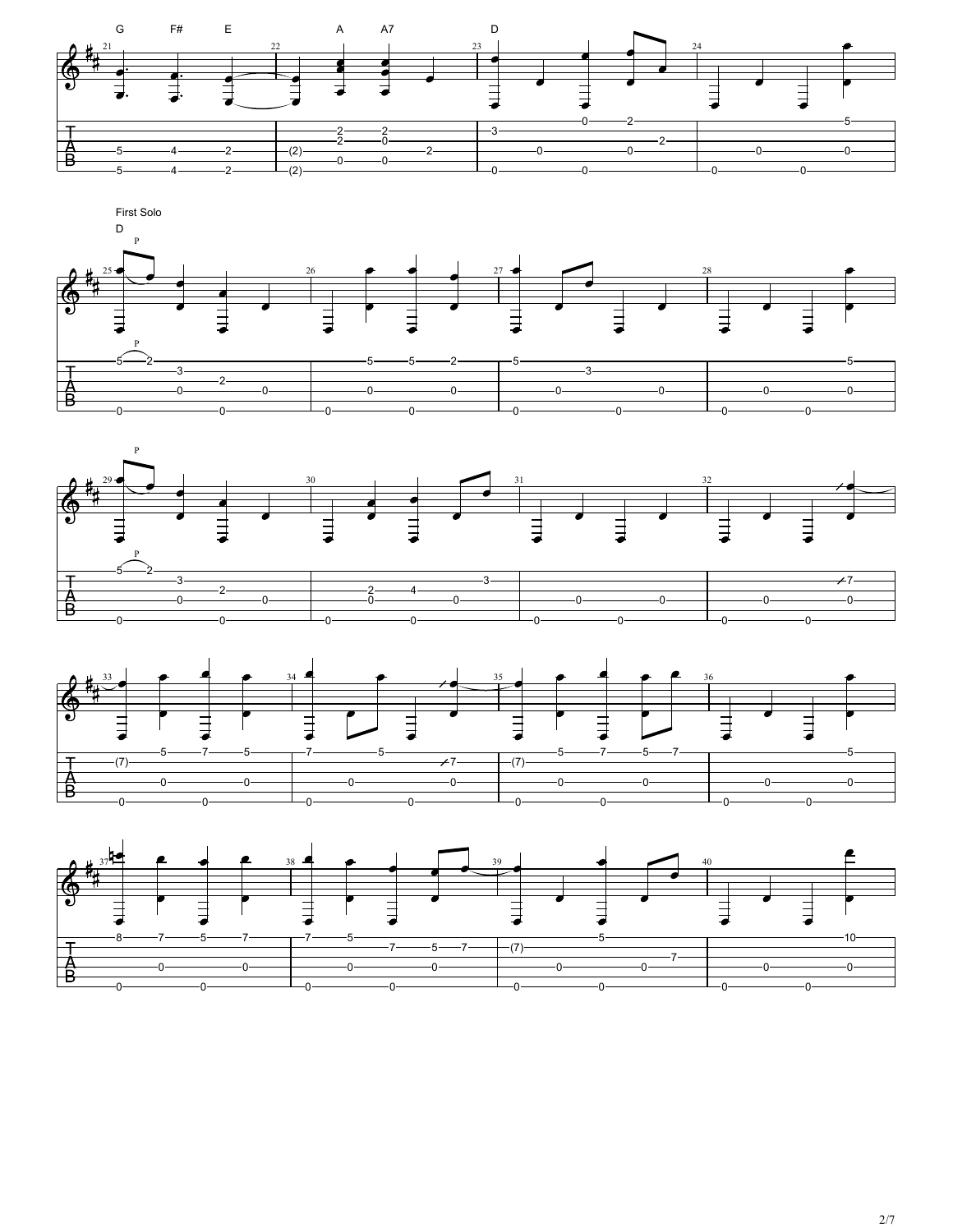







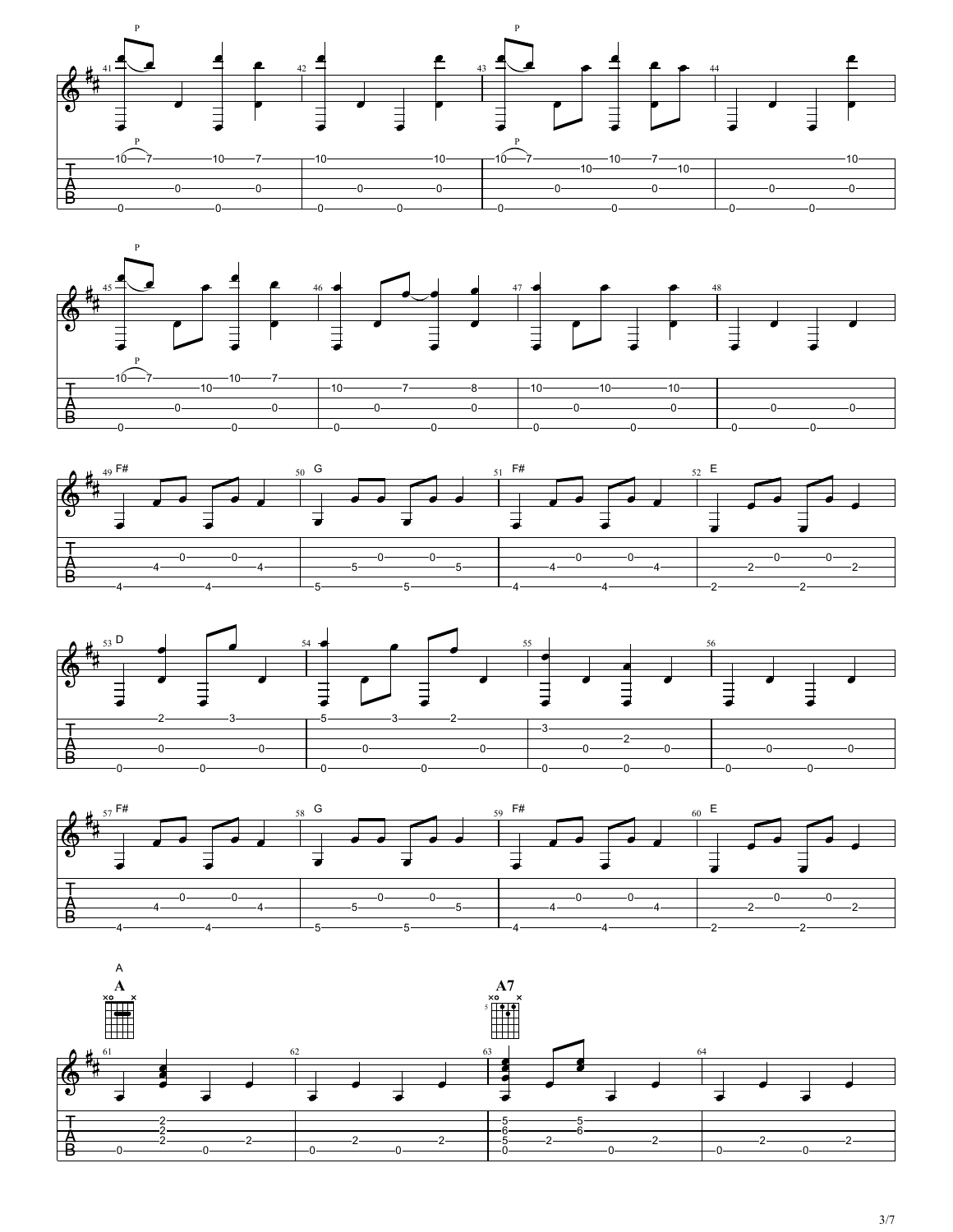









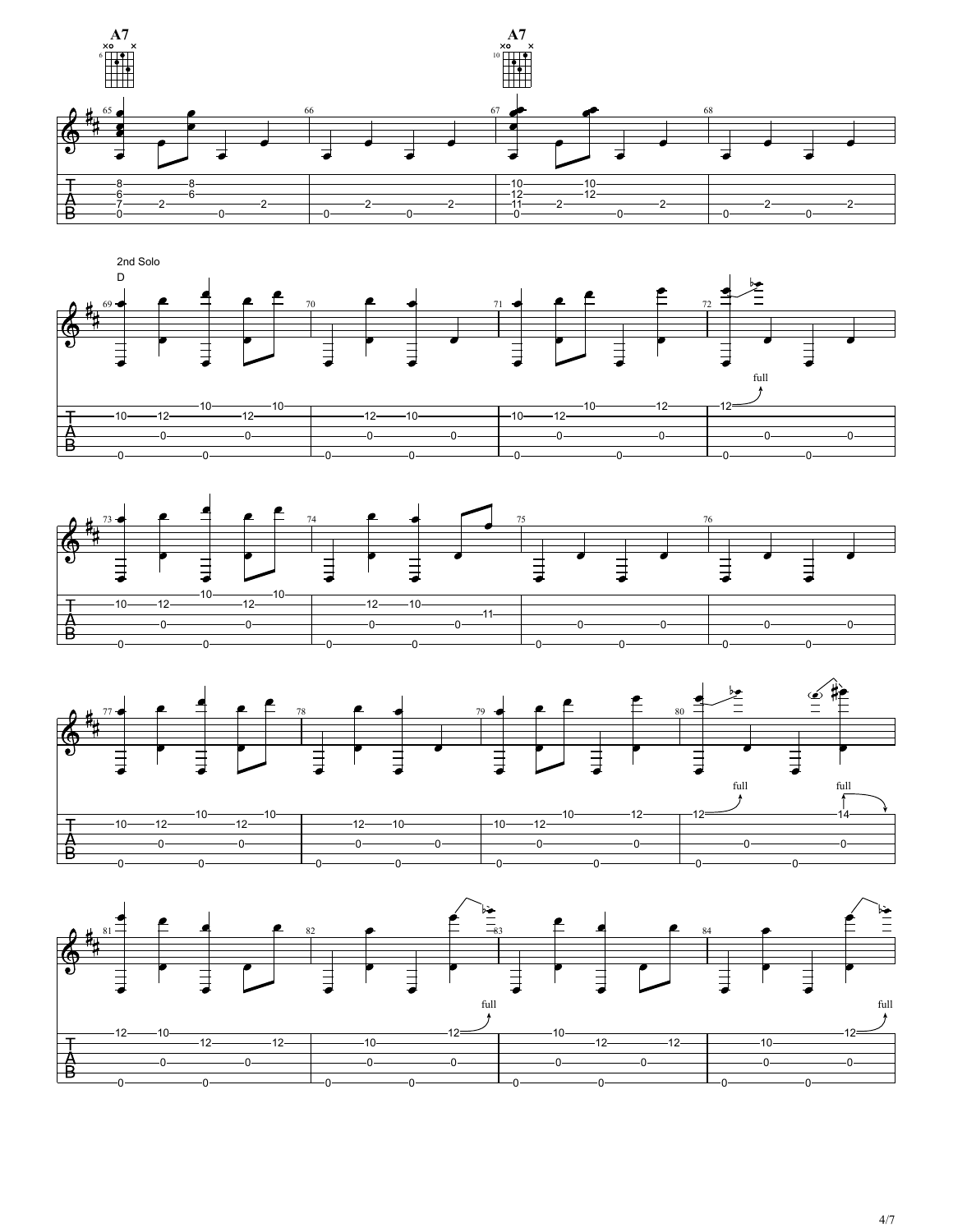







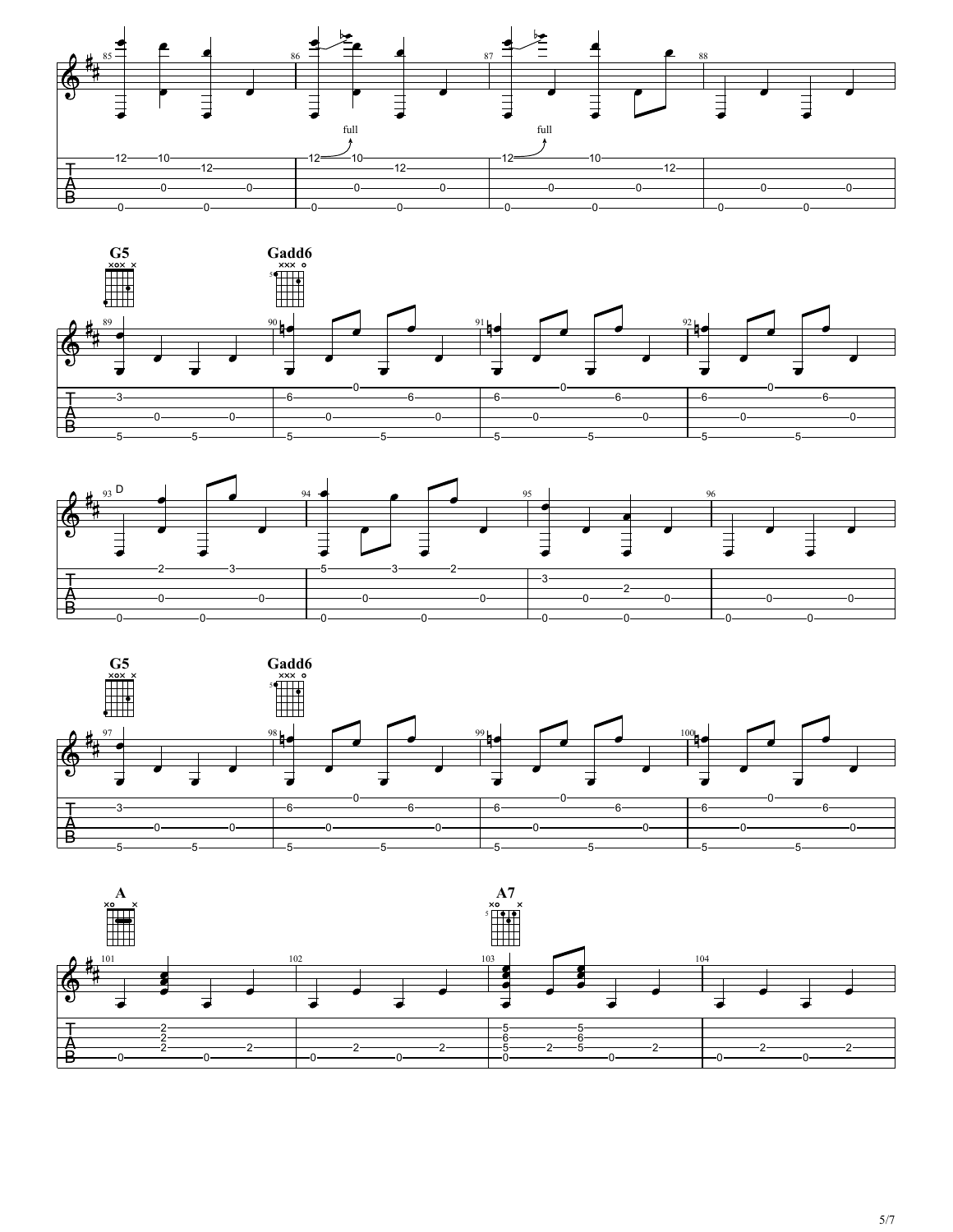







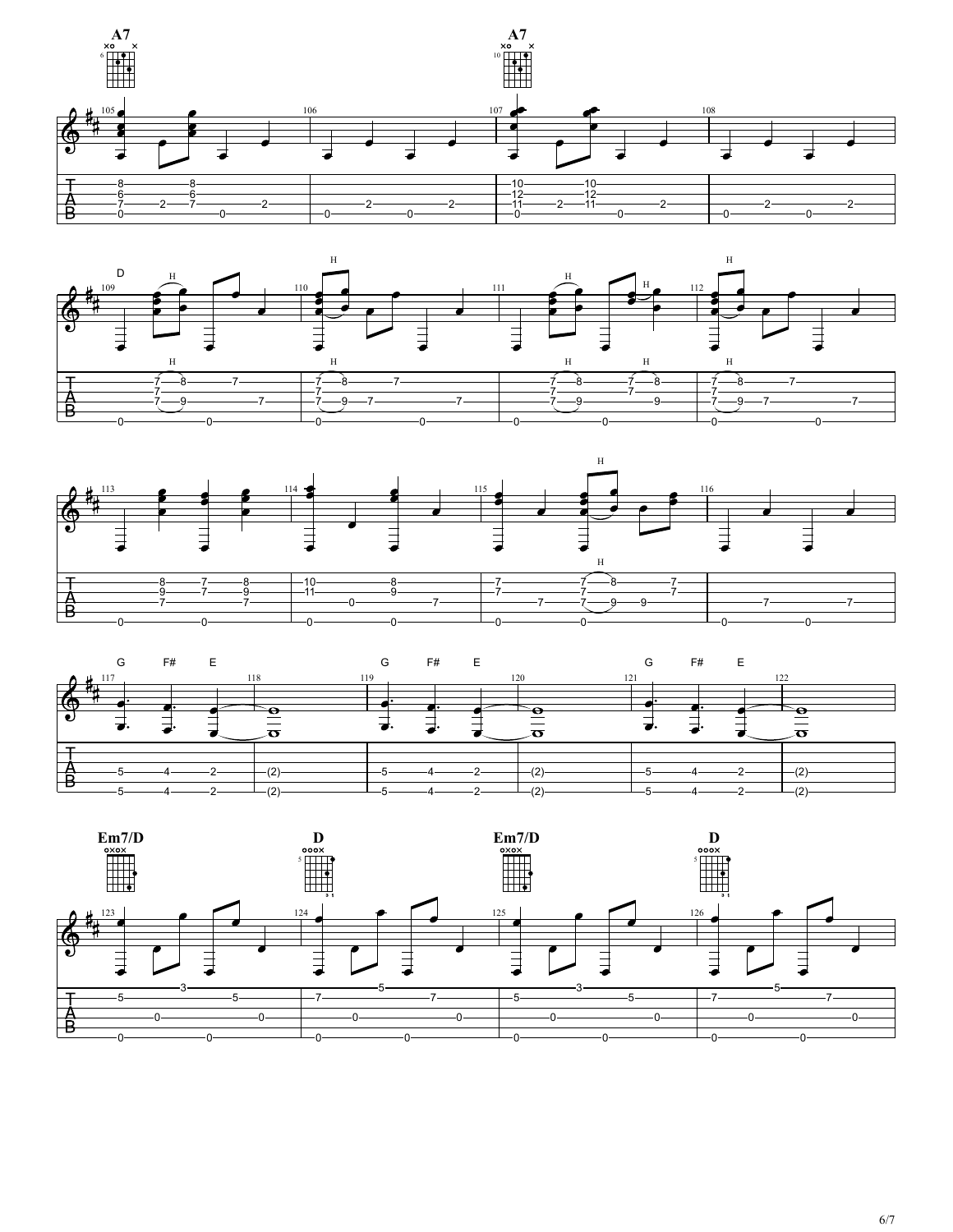